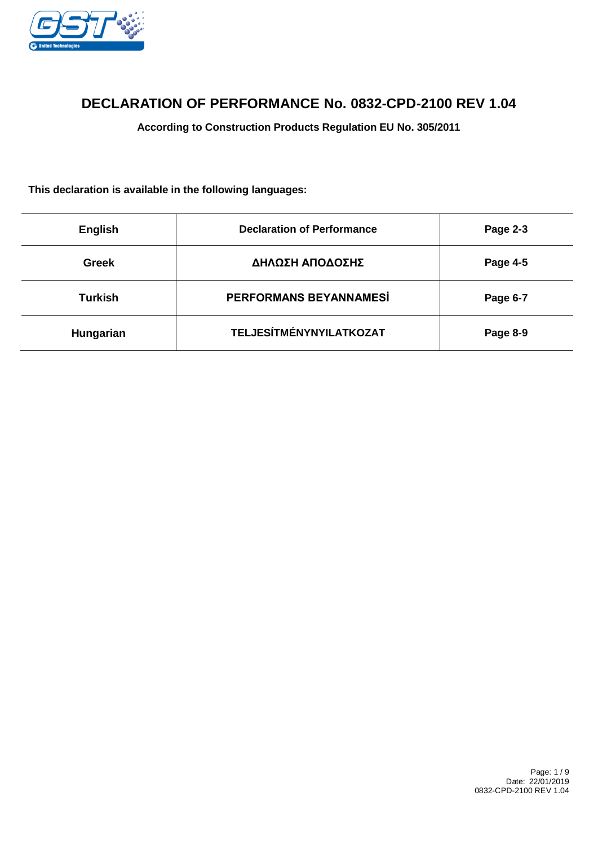

# **DECLARATION OF PERFORMANCE No. 0832-CPD-2100 REV 1.04**

**According to Construction Products Regulation EU No. 305/2011**

**This declaration is available in the following languages:**

| <b>English</b> | <b>Declaration of Performance</b> | Page 2-3 |
|----------------|-----------------------------------|----------|
| <b>Greek</b>   | ΔΗΛΩΣΗ ΑΠΟΔΟΣΗΣ                   | Page 4-5 |
| <b>Turkish</b> | PERFORMANS BEYANNAMESİ            | Page 6-7 |
| Hungarian      | <b>TELJESÍTMÉNYNYILATKOZAT</b>    | Page 8-9 |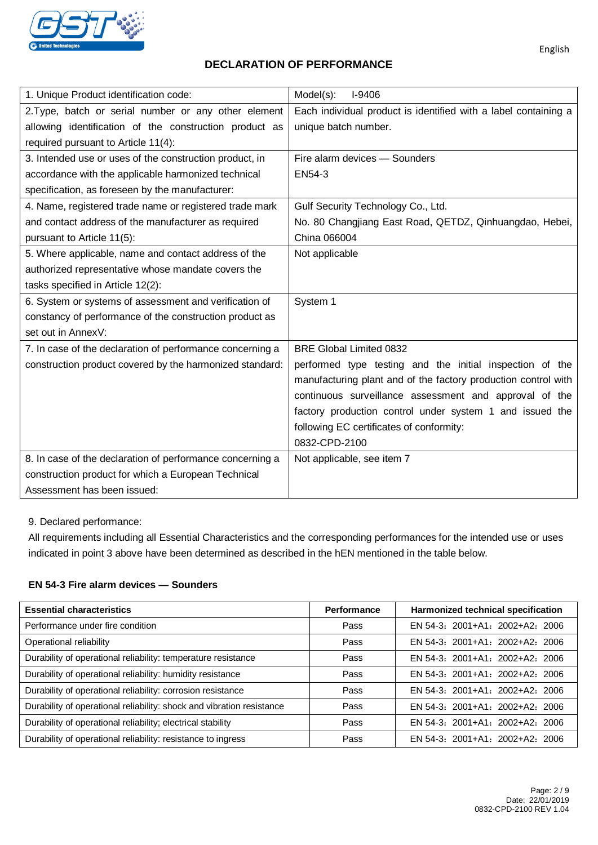

### **DECLARATION OF PERFORMANCE**

| 1. Unique Product identification code:                    | Model(s):<br>$I-9406$                                           |
|-----------------------------------------------------------|-----------------------------------------------------------------|
| 2. Type, batch or serial number or any other element      | Each individual product is identified with a label containing a |
| allowing identification of the construction product as    | unique batch number.                                            |
| required pursuant to Article 11(4):                       |                                                                 |
| 3. Intended use or uses of the construction product, in   | Fire alarm devices - Sounders                                   |
| accordance with the applicable harmonized technical       | EN54-3                                                          |
| specification, as foreseen by the manufacturer:           |                                                                 |
| 4. Name, registered trade name or registered trade mark   | Gulf Security Technology Co., Ltd.                              |
| and contact address of the manufacturer as required       | No. 80 Changjiang East Road, QETDZ, Qinhuangdao, Hebei,         |
| pursuant to Article 11(5):                                | China 066004                                                    |
| 5. Where applicable, name and contact address of the      | Not applicable                                                  |
| authorized representative whose mandate covers the        |                                                                 |
| tasks specified in Article 12(2):                         |                                                                 |
| 6. System or systems of assessment and verification of    | System 1                                                        |
| constancy of performance of the construction product as   |                                                                 |
| set out in AnnexV:                                        |                                                                 |
| 7. In case of the declaration of performance concerning a | <b>BRE Global Limited 0832</b>                                  |
| construction product covered by the harmonized standard:  | performed type testing and the initial inspection of the        |
|                                                           | manufacturing plant and of the factory production control with  |
|                                                           | continuous surveillance assessment and approval of the          |
|                                                           | factory production control under system 1 and issued the        |
|                                                           | following EC certificates of conformity:                        |
|                                                           | 0832-CPD-2100                                                   |
| 8. In case of the declaration of performance concerning a | Not applicable, see item 7                                      |
| construction product for which a European Technical       |                                                                 |
| Assessment has been issued:                               |                                                                 |

#### 9. Declared performance:

All requirements including all Essential Characteristics and the corresponding performances for the intended use or uses indicated in point 3 above have been determined as described in the hEN mentioned in the table below.

#### **EN 54-3 Fire alarm devices — Sounders**

| <b>Essential characteristics</b>                                      | Performance | Harmonized technical specification |
|-----------------------------------------------------------------------|-------------|------------------------------------|
| Performance under fire condition                                      | Pass        | EN 54-3: 2001+A1: 2002+A2: 2006    |
| Operational reliability                                               | Pass        | EN 54-3: 2001+A1: 2002+A2: 2006    |
| Durability of operational reliability: temperature resistance         | Pass        | $EN$ 54-3: 2001+A1: 2002+A2: 2006  |
| Durability of operational reliability: humidity resistance            | Pass        | EN 54-3: 2001+A1: 2002+A2: 2006    |
| Durability of operational reliability: corrosion resistance           | Pass        | $EN$ 54-3: 2001+A1: 2002+A2: 2006  |
| Durability of operational reliability: shock and vibration resistance | Pass        | EN 54-3: 2001+A1: 2002+A2: 2006    |
| Durability of operational reliability; electrical stability           | Pass        | EN 54-3: 2001+A1: 2002+A2: 2006    |
| Durability of operational reliability: resistance to ingress          | Pass        | EN 54-3: 2001+A1: 2002+A2: 2006    |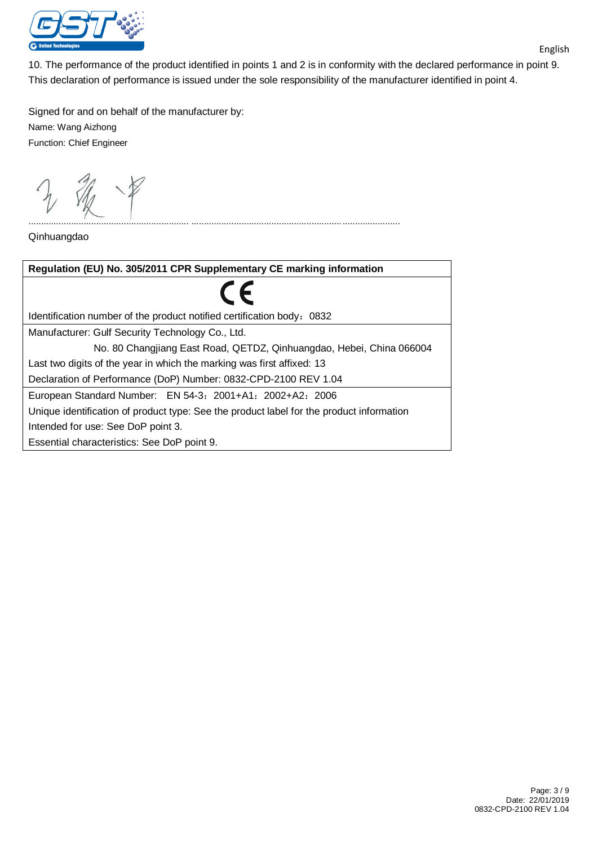

10. The performance of the product identified in points 1 and 2 is in conformity with the declared performance in point 9. This declaration of performance is issued under the sole responsibility of the manufacturer identified in point 4.

................................................................ ...................................................................................

Signed for and on behalf of the manufacturer by: Name: Wang Aizhong Function: Chief Engineer

Qinhuangdao

| Regulation (EU) No. 305/2011 CPR Supplementary CE marking information                    |  |  |
|------------------------------------------------------------------------------------------|--|--|
| $\epsilon$                                                                               |  |  |
| Identification number of the product notified certification body: 0832                   |  |  |
| Manufacturer: Gulf Security Technology Co., Ltd.                                         |  |  |
| No. 80 Changjiang East Road, QETDZ, Qinhuangdao, Hebei, China 066004                     |  |  |
| Last two digits of the year in which the marking was first affixed: 13                   |  |  |
| Declaration of Performance (DoP) Number: 0832-CPD-2100 REV 1.04                          |  |  |
| European Standard Number: EN 54-3: 2001+A1: 2002+A2: 2006                                |  |  |
| Unique identification of product type: See the product label for the product information |  |  |
| Intended for use: See DoP point 3.                                                       |  |  |
| Essential characteristics: See DoP point 9.                                              |  |  |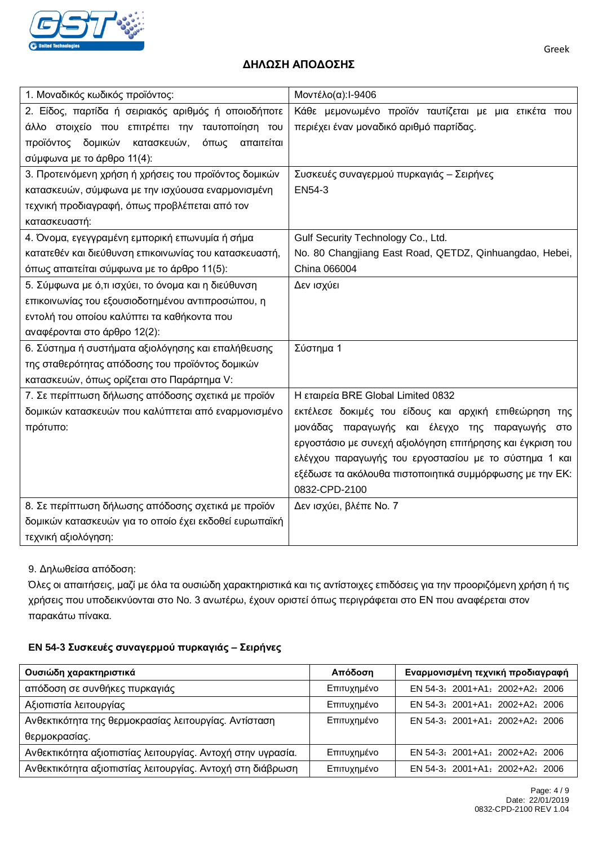

## **ΔΗΛΩΣΗ ΑΠΟΔΟΣΗΣ**

| 1. Μοναδικός κωδικός προϊόντος:                        | Μοντέλο(α):1-9406                                          |
|--------------------------------------------------------|------------------------------------------------------------|
| 2. Είδος, παρτίδα ή σειριακός αριθμός ή οποιοδήποτε    | Κάθε μεμονωμένο προϊόν ταυτίζεται με μια ετικέτα που       |
| άλλο στοιχείο που επιτρέπει την ταυτοποίηση του        | περιέχει έναν μοναδικό αριθμό παρτίδας.                    |
| προϊόντος δομικών κατασκευών,<br>όπως<br>απαιτείται    |                                                            |
| σύμφωνα με το άρθρο 11(4):                             |                                                            |
| 3. Προτεινόμενη χρήση ή χρήσεις του προϊόντος δομικών  | Συσκευές συναγερμού πυρκαγιάς - Σειρήνες                   |
| κατασκευών, σύμφωνα με την ισχύουσα εναρμονισμένη      | EN54-3                                                     |
| τεχνική προδιαγραφή, όπως προβλέπεται από τον          |                                                            |
| κατασκευαστή:                                          |                                                            |
| 4. Όνομα, εγεγγραμένη εμπορική επωνυμία ή σήμα         | Gulf Security Technology Co., Ltd.                         |
| κατατεθέν και διεύθυνση επικοινωνίας του κατασκευαστή, | No. 80 Changjiang East Road, QETDZ, Qinhuangdao, Hebei,    |
| όπως απαιτείται σύμφωνα με το άρθρο 11(5):             | China 066004                                               |
| 5. Σύμφωνα με ό,τι ισχύει, το όνομα και η διεύθυνση    | Δεν ισχύει                                                 |
| επικοινωνίας του εξουσιοδοτημένου αντιπροσώπου, η      |                                                            |
| εντολή του οποίου καλύπτει τα καθήκοντα που            |                                                            |
| αναφέρονται στο άρθρο 12(2):                           |                                                            |
| 6. Σύστημα ή συστήματα αξιολόγησης και επαλήθευσης     | Σύστημα 1                                                  |
| της σταθερότητας απόδοσης του προϊόντος δομικών        |                                                            |
| κατασκευών, όπως ορίζεται στο Παράρτημα V:             |                                                            |
| 7. Σε περίπτωση δήλωσης απόδοσης σχετικά με προϊόν     | Η εταιρεία BRE Global Limited 0832                         |
| δομικών κατασκευών που καλύπτεται από εναρμονισμένο    | εκτέλεσε δοκιμές του είδους και αρχική επιθεώρηση της      |
| πρότυπο:                                               | μονάδας παραγωγής και έλεγχο της παραγωγής<br>στο          |
|                                                        | εργοστάσιο με συνεχή αξιολόγηση επιτήρησης και έγκριση του |
|                                                        | ελέγχου παραγωγής του εργοστασίου με το σύστημα 1 και      |
|                                                        | εξέδωσε τα ακόλουθα πιστοποιητικά συμμόρφωσης με την ΕΚ:   |
|                                                        | 0832-CPD-2100                                              |
| 8. Σε περίπτωση δήλωσης απόδοσης σχετικά με προϊόν     | Δεν ισχύει, βλέπε Νο. 7                                    |
| δομικών κατασκευών για το οποίο έχει εκδοθεί ευρωπαϊκή |                                                            |
| τεχνική αξιολόγηση:                                    |                                                            |

### 9. Δηλωθείσα απόδοση:

Όλες οι απαιτήσεις, μαζί με όλα τα ουσιώδη χαρακτηριστικά και τις αντίστοιχες επιδόσεις για την προοριζόμενη χρήση ή τις χρήσεις που υποδεικνύονται στο No. 3 ανωτέρω, έχουν οριστεί όπως περιγράφεται στο ΕΝ που αναφέρεται στον παρακάτω πίνακα.

### **EN 54-3 Συσκευές συναγερμού πυρκαγιάς – Σειρήνες**

| Ουσιώδη χαρακτηριστικά                                      | Απόδοση     | Εναρμονισμένη τεχνική προδιαγραφή |
|-------------------------------------------------------------|-------------|-----------------------------------|
| απόδοση σε συνθήκες πυρκαγιάς                               | Επιτυχημένο | EN 54-3: 2001+A1: 2002+A2: 2006   |
| Αξιοπιστία λειτουργίας                                      | Επιτυχημένο | EN 54-3: 2001+A1: 2002+A2: 2006   |
| Ανθεκτικότητα της θερμοκρασίας λειτουργίας. Αντίσταση       | Επιτυχημένο | EN 54-3: 2001+A1: 2002+A2: 2006   |
| θερμοκρασίας.                                               |             |                                   |
| Ανθεκτικότητα αξιοπιστίας λειτουργίας. Αντοχή στην υγρασία. | Επιτυχημένο | EN 54-3: 2001+A1: 2002+A2: 2006   |
| Ανθεκτικότητα αξιοπιστίας λειτουργίας. Αντοχή στη διάβρωση  | Επιτυχημένο | EN 54-3: 2001+A1: 2002+A2: 2006   |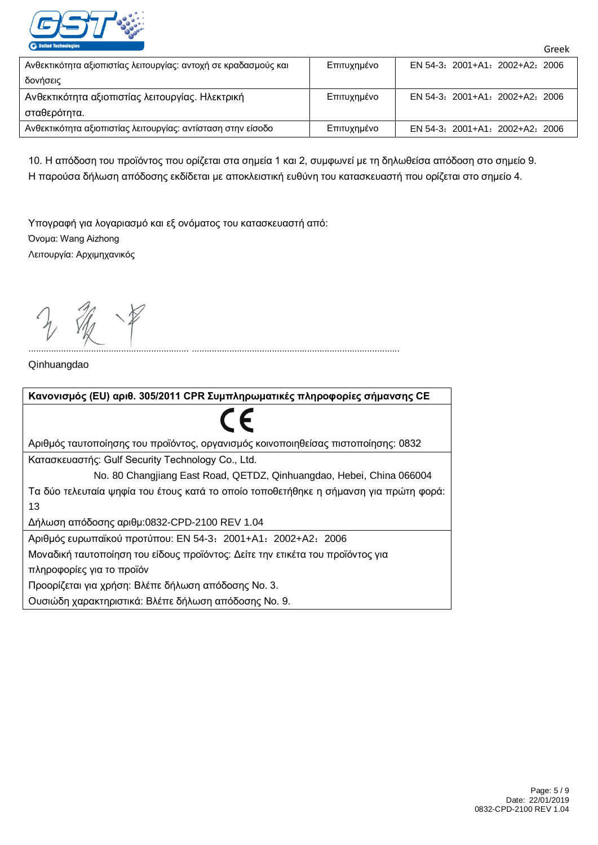

| Ανθεκτικότητα αξιοπιστίας λειτουργίας: αντοχή σε κραδασμούς και | Επιτυχημένο | EN 54-3: 2001+A1: 2002+A2: 2006 |
|-----------------------------------------------------------------|-------------|---------------------------------|
| δονήσεις                                                        |             |                                 |
| Ανθεκτικότητα αξιοπιστίας λειτουργίας. Ηλεκτρική                | Επιτυχημένο | EN 54-3: 2001+A1: 2002+A2: 2006 |
| σταθερότητα.                                                    |             |                                 |
| Ανθεκτικότητα αξιοπιστίας λειτουργίας: αντίσταση στην είσοδο    | Επιτυχημένο | EN 54-3: 2001+A1: 2002+A2: 2006 |

10. Η απόδοση του προϊόντος που ορίζεται στα σημεία 1 και 2, συμφωνεί με τη δηλωθείσα απόδοση στο σημείο 9. Η παρούσα δήλωση απόδοσης εκδίδεται με αποκλειστική ευθύνη του κατασκευαστή που ορίζεται στο σημείο 4.

Υπογραφή για λογαριασμό και εξ ονόματος του κατασκευαστή από: Όνομα: Wang Aizhong Λειτουργία: Αρχιμηχανικός

Qinhuangdao



................................................................ ...................................................................................

Greek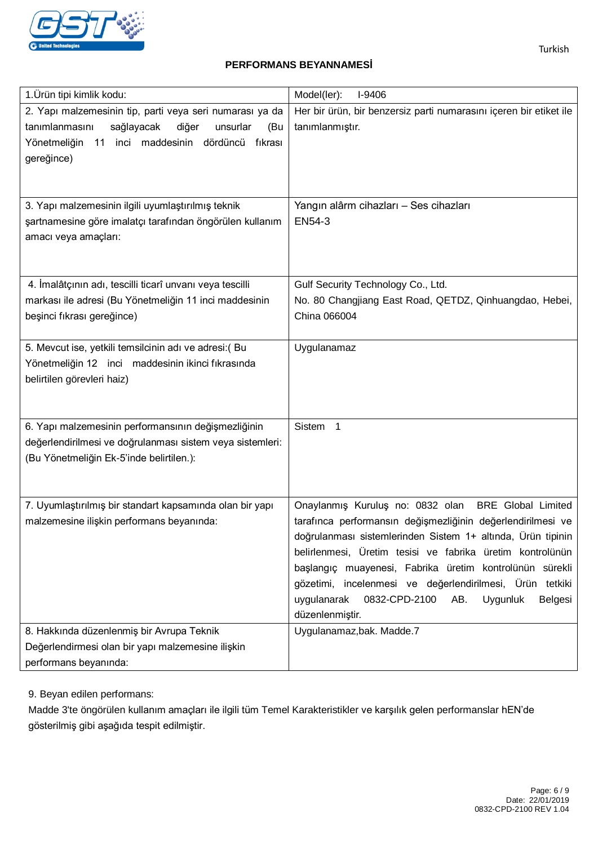

### **PERFORMANS BEYANNAMESİ**

| 1. Ürün tipi kimlik kodu:                                                                                                                                                                    | Model(ler):<br>I-9406                                                                                                                                                                                                                                                                                                                                                                                                                                            |
|----------------------------------------------------------------------------------------------------------------------------------------------------------------------------------------------|------------------------------------------------------------------------------------------------------------------------------------------------------------------------------------------------------------------------------------------------------------------------------------------------------------------------------------------------------------------------------------------------------------------------------------------------------------------|
| 2. Yapı malzemesinin tip, parti veya seri numarası ya da<br>sağlayacak<br>diğer<br>tanımlanmasını<br>unsurlar<br>(Bu<br>11 inci maddesinin dördüncü<br>Yönetmeliğin<br>fıkrası<br>gereğince) | Her bir ürün, bir benzersiz parti numarasını içeren bir etiket ile<br>tanımlanmıştır.                                                                                                                                                                                                                                                                                                                                                                            |
| 3. Yapı malzemesinin ilgili uyumlaştırılmış teknik<br>şartnamesine göre imalatçı tarafından öngörülen kullanım<br>amacı veya amaçları:                                                       | Yangın alârm cihazları - Ses cihazları<br>EN54-3                                                                                                                                                                                                                                                                                                                                                                                                                 |
| 4. İmalâtçının adı, tescilli ticarî unvanı veya tescilli<br>markası ile adresi (Bu Yönetmeliğin 11 inci maddesinin<br>beşinci fıkrası gereğince)                                             | Gulf Security Technology Co., Ltd.<br>No. 80 Changjiang East Road, QETDZ, Qinhuangdao, Hebei,<br>China 066004                                                                                                                                                                                                                                                                                                                                                    |
| 5. Mevcut ise, yetkili temsilcinin adı ve adresi: (Bu<br>Yönetmeliğin 12 inci maddesinin ikinci fıkrasında<br>belirtilen görevleri haiz)                                                     | Uygulanamaz                                                                                                                                                                                                                                                                                                                                                                                                                                                      |
| 6. Yapı malzemesinin performansının değişmezliğinin<br>değerlendirilmesi ve doğrulanması sistem veya sistemleri:<br>(Bu Yönetmeliğin Ek-5'inde belirtilen.):                                 | Sistem 1                                                                                                                                                                                                                                                                                                                                                                                                                                                         |
| 7. Uyumlaştırılmış bir standart kapsamında olan bir yapı<br>malzemesine ilişkin performans beyanında:                                                                                        | Onaylanmış Kuruluş no: 0832 olan<br><b>BRE</b> Global Limited<br>tarafınca performansın değişmezliğinin değerlendirilmesi ve<br>doğrulanması sistemlerinden Sistem 1+ altında, Ürün tipinin<br>belirlenmesi, Üretim tesisi ve fabrika üretim kontrolünün<br>başlangıç muayenesi, Fabrika üretim kontrolünün sürekli<br>gözetimi, incelenmesi ve değerlendirilmesi, Ürün tetkiki<br>Uygunluk<br>uygulanarak<br>0832-CPD-2100<br>AB.<br>Belgesi<br>düzenlenmiştir. |
| 8. Hakkında düzenlenmiş bir Avrupa Teknik<br>Değerlendirmesi olan bir yapı malzemesine ilişkin<br>performans beyanında:                                                                      | Uygulanamaz, bak. Madde.7                                                                                                                                                                                                                                                                                                                                                                                                                                        |

9. Beyan edilen performans:

Madde 3'te öngörülen kullanım amaçları ile ilgili tüm Temel Karakteristikler ve karşılık gelen performanslar hEN'de gösterilmiş gibi aşağıda tespit edilmiştir.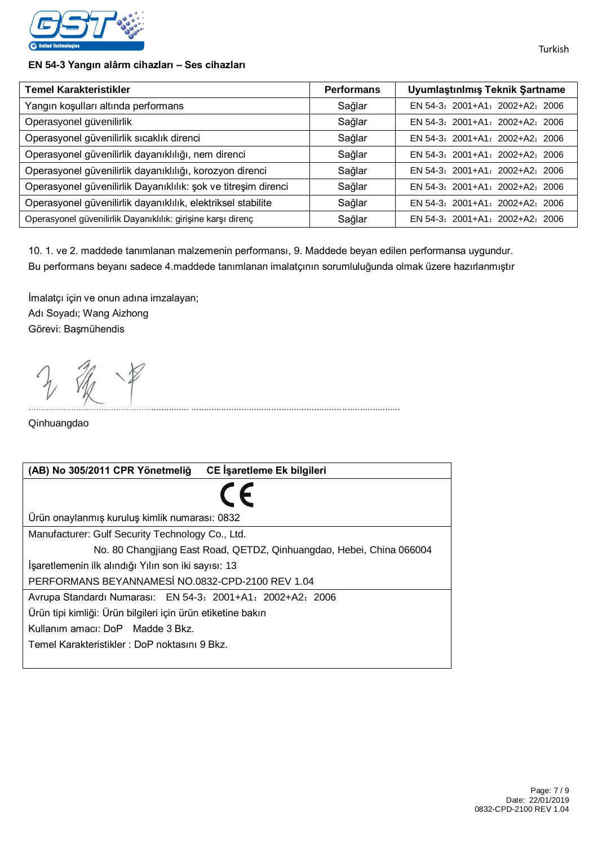

#### **EN 54-3 Yangın alârm cihazları – Ses cihazları**

| <b>Temel Karakteristikler</b>                                  | <b>Performans</b> | Uyumlaştınlmış Teknik Şartname  |
|----------------------------------------------------------------|-------------------|---------------------------------|
| Yangın koşulları altında performans                            | Sağlar            | EN 54-3: 2001+A1: 2002+A2: 2006 |
| Operasyonel güvenilirlik                                       | Sağlar            | EN 54-3: 2001+A1: 2002+A2: 2006 |
| Operasyonel güvenilirlik sıcaklık direnci                      | Sağlar            | EN 54-3: 2001+A1: 2002+A2: 2006 |
| Operasyonel güvenilirlik dayanıklılığı, nem direnci            | Sağlar            | EN 54-3: 2001+A1: 2002+A2: 2006 |
| Operasyonel güvenilirlik dayanıklılığı, korozyon direnci       | Sağlar            | EN 54-3: 2001+A1: 2002+A2: 2006 |
| Operasyonel güvenilirlik Dayanıklılık: şok ve titreşim direnci | Sağlar            | EN 54-3: 2001+A1: 2002+A2: 2006 |
| Operasyonel güvenilirlik dayanıklılık, elektriksel stabilite   | Sağlar            | EN 54-3: 2001+A1: 2002+A2: 2006 |
| Operasyonel güvenilirlik Dayanıklılık: girişine karşı direnç   | Sağlar            | EN 54-3: 2001+A1: 2002+A2: 2006 |

10. 1. ve 2. maddede tanımlanan malzemenin performansı, 9. Maddede beyan edilen performansa uygundur. Bu performans beyanı sadece 4.maddede tanımlanan imalatçının sorumluluğunda olmak üzere hazırlanmıştır

................................................................ ...................................................................................

İmalatçı için ve onun adına imzalayan; Adı Soyadı; Wang Aizhong Görevi: Başmühendis

Qinhuangdao

| CE İşaretleme Ek bilgileri<br>(AB) No 305/2011 CPR Yönetmeliğ        |  |  |  |
|----------------------------------------------------------------------|--|--|--|
|                                                                      |  |  |  |
| Ürün onaylanmış kuruluş kimlik numarası: 0832                        |  |  |  |
| Manufacturer: Gulf Security Technology Co., Ltd.                     |  |  |  |
| No. 80 Changjiang East Road, QETDZ, Qinhuangdao, Hebei, China 066004 |  |  |  |
| İşaretlemenin ilk alındığı Yılın son iki sayısı: 13                  |  |  |  |
| PERFORMANS BEYANNAMESI NO.0832-CPD-2100 REV 1.04                     |  |  |  |
| Avrupa Standardı Numarası: EN 54-3: 2001+A1: 2002+A2: 2006           |  |  |  |
| Ürün tipi kimliği: Ürün bilgileri için ürün etiketine bakın          |  |  |  |
| Kullanim amacı: DoP Madde 3 Bkz.                                     |  |  |  |
| Temel Karakteristikler: DoP noktasını 9 Bkz.                         |  |  |  |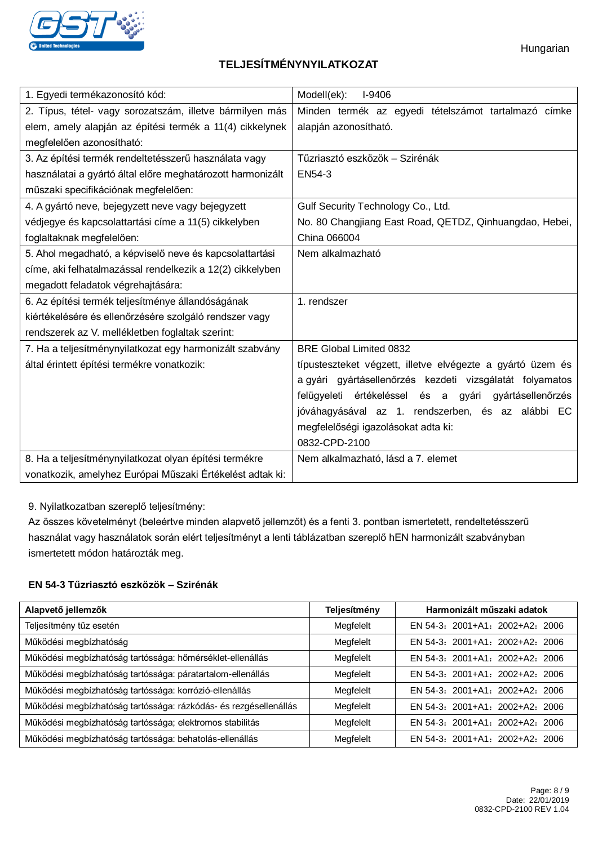

# **TELJESÍTMÉNYNYILATKOZAT**

| 1. Egyedi termékazonosító kód:                             | Modell(ek):<br>I-9406                                      |  |  |
|------------------------------------------------------------|------------------------------------------------------------|--|--|
| 2. Típus, tétel- vagy sorozatszám, illetve bármilyen más   | Minden termék az egyedi tételszámot tartalmazó címke       |  |  |
| elem, amely alapján az építési termék a 11(4) cikkelynek   | alapján azonosítható.                                      |  |  |
| megfelelően azonosítható:                                  |                                                            |  |  |
| 3. Az építési termék rendeltetésszerű használata vagy      | Tűzriasztó eszközök – Szirénák                             |  |  |
| használatai a gyártó által előre meghatározott harmonizált | EN54-3                                                     |  |  |
| műszaki specifikációnak megfelelően:                       |                                                            |  |  |
| 4. A gyártó neve, bejegyzett neve vagy bejegyzett          | Gulf Security Technology Co., Ltd.                         |  |  |
| védjegye és kapcsolattartási címe a 11(5) cikkelyben       | No. 80 Changjiang East Road, QETDZ, Qinhuangdao, Hebei,    |  |  |
| foglaltaknak megfelelően:                                  | China 066004                                               |  |  |
| 5. Ahol megadható, a képviselő neve és kapcsolattartási    | Nem alkalmazható                                           |  |  |
| címe, aki felhatalmazással rendelkezik a 12(2) cikkelyben  |                                                            |  |  |
| megadott feladatok végrehajtására:                         |                                                            |  |  |
| 6. Az építési termék teljesítménye állandóságának          | 1. rendszer                                                |  |  |
| kiértékelésére és ellenőrzésére szolgáló rendszer vagy     |                                                            |  |  |
| rendszerek az V. mellékletben foglaltak szerint:           |                                                            |  |  |
| 7. Ha a teljesítménynyilatkozat egy harmonizált szabvány   | <b>BRE Global Limited 0832</b>                             |  |  |
| által érintett építési termékre vonatkozik:                | típusteszteket végzett, illetve elvégezte a gyártó üzem és |  |  |
|                                                            | a gyári gyártásellenőrzés kezdeti vizsgálatát folyamatos   |  |  |
|                                                            | felügyeleti értékeléssel és a gyári gyártásellenőrzés      |  |  |
|                                                            | jóváhagyásával az 1. rendszerben, és az alábbi EC          |  |  |
|                                                            | megfelelőségi igazolásokat adta ki:                        |  |  |
|                                                            | 0832-CPD-2100                                              |  |  |
| 8. Ha a teljesítménynyilatkozat olyan építési termékre     | Nem alkalmazható, lásd a 7. elemet                         |  |  |
| vonatkozik, amelyhez Európai Műszaki Értékelést adtak ki:  |                                                            |  |  |

9. Nyilatkozatban szereplő teljesítmény:

Az összes követelményt (beleértve minden alapvető jellemzőt) és a fenti 3. pontban ismertetett, rendeltetésszerű használat vagy használatok során elért teljesítményt a lenti táblázatban szereplő hEN harmonizált szabványban ismertetett módon határozták meg.

#### **EN 54-3 Tűzriasztó eszközök – Szirénák**

| Alapvető jellemzők                                               | Teljesítmény | Harmonizált műszaki adatok      |
|------------------------------------------------------------------|--------------|---------------------------------|
| Teljesítmény tűz esetén                                          | Megfelelt    | EN 54-3: 2001+A1: 2002+A2: 2006 |
| Működési megbízhatóság                                           | Megfelelt    | EN 54-3: 2001+A1: 2002+A2: 2006 |
| Működési megbízhatóság tartóssága: hőmérséklet-ellenállás        | Megfelelt    | EN 54-3: 2001+A1: 2002+A2: 2006 |
| Működési megbízhatóság tartóssága: páratartalom-ellenállás       | Megfelelt    | EN 54-3: 2001+A1: 2002+A2: 2006 |
| Működési megbízhatóság tartóssága: korrózió-ellenállás           | Megfelelt    | EN 54-3: 2001+A1: 2002+A2: 2006 |
| Működési megbízhatóság tartóssága: rázkódás- és rezgésellenállás | Megfelelt    | EN 54-3: 2001+A1: 2002+A2: 2006 |
| Működési megbízhatóság tartóssága; elektromos stabilitás         | Megfelelt    | EN 54-3: 2001+A1: 2002+A2: 2006 |
| Működési megbízhatóság tartóssága: behatolás-ellenállás          | Megfelelt    | EN 54-3: 2001+A1: 2002+A2: 2006 |